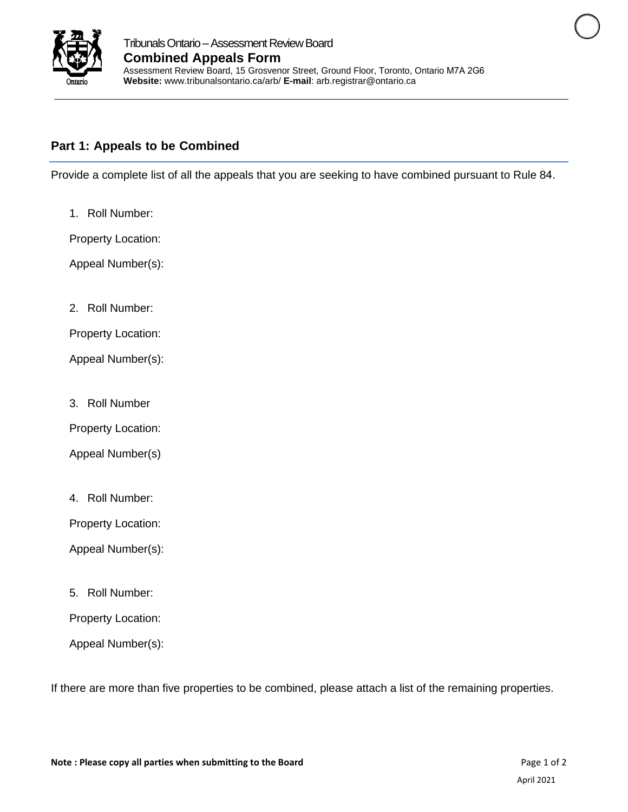

## **Part 1: Appeals to be Combined**

Provide a complete list of all the appeals that you are seeking to have combined pursuant to Rule 84.

1. Roll Number:

Property Location:

Appeal Number(s):

2. Roll Number:

Property Location:

Appeal Number(s):

3. Roll Number

Property Location:

Appeal Number(s)

4. Roll Number:

Property Location:

Appeal Number(s):

5. Roll Number:

Property Location:

Appeal Number(s):

If there are more than five properties to be combined, please attach a list of the remaining properties.